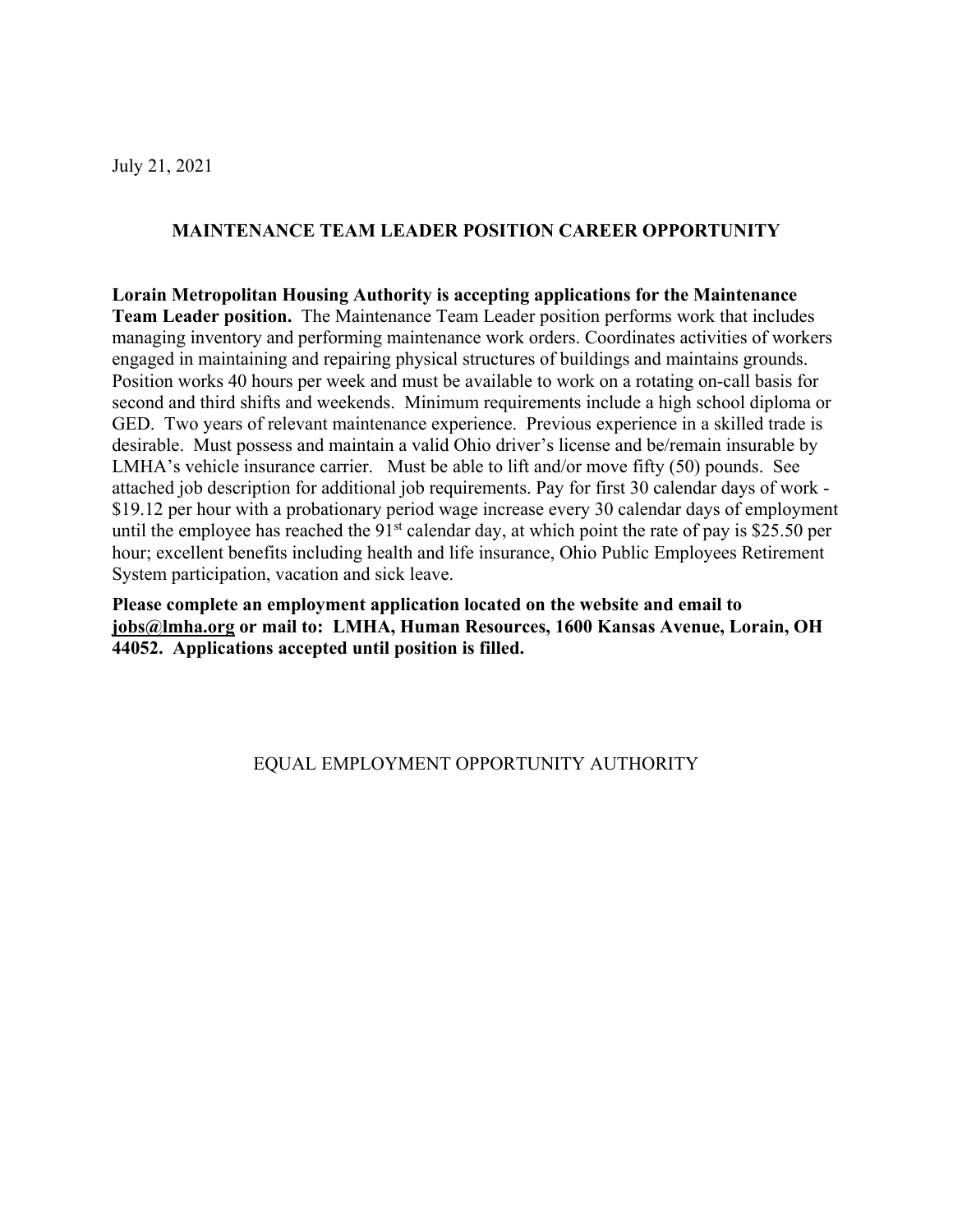### July 21, 2021

## **MAINTENANCE TEAM LEADER POSITION CAREER OPPORTUNITY**

**Lorain Metropolitan Housing Authority is accepting applications for the Maintenance Team Leader position.** The Maintenance Team Leader position performs work that includes managing inventory and performing maintenance work orders. Coordinates activities of workers engaged in maintaining and repairing physical structures of buildings and maintains grounds. Position works 40 hours per week and must be available to work on a rotating on-call basis for second and third shifts and weekends. Minimum requirements include a high school diploma or GED. Two years of relevant maintenance experience. Previous experience in a skilled trade is desirable. Must possess and maintain a valid Ohio driver's license and be/remain insurable by LMHA's vehicle insurance carrier. Must be able to lift and/or move fifty (50) pounds. See attached job description for additional job requirements. Pay for first 30 calendar days of work - \$19.12 per hour with a probationary period wage increase every 30 calendar days of employment until the employee has reached the  $91<sup>st</sup>$  calendar day, at which point the rate of pay is \$25.50 per hour; excellent benefits including health and life insurance, Ohio Public Employees Retirement System participation, vacation and sick leave.

**Please complete an employment application located on the website and email to [jobs@lmha.org](mailto:jobs@lmha.org) or mail to: LMHA, Human Resources, 1600 Kansas Avenue, Lorain, OH 44052. Applications accepted until position is filled.**

### EQUAL EMPLOYMENT OPPORTUNITY AUTHORITY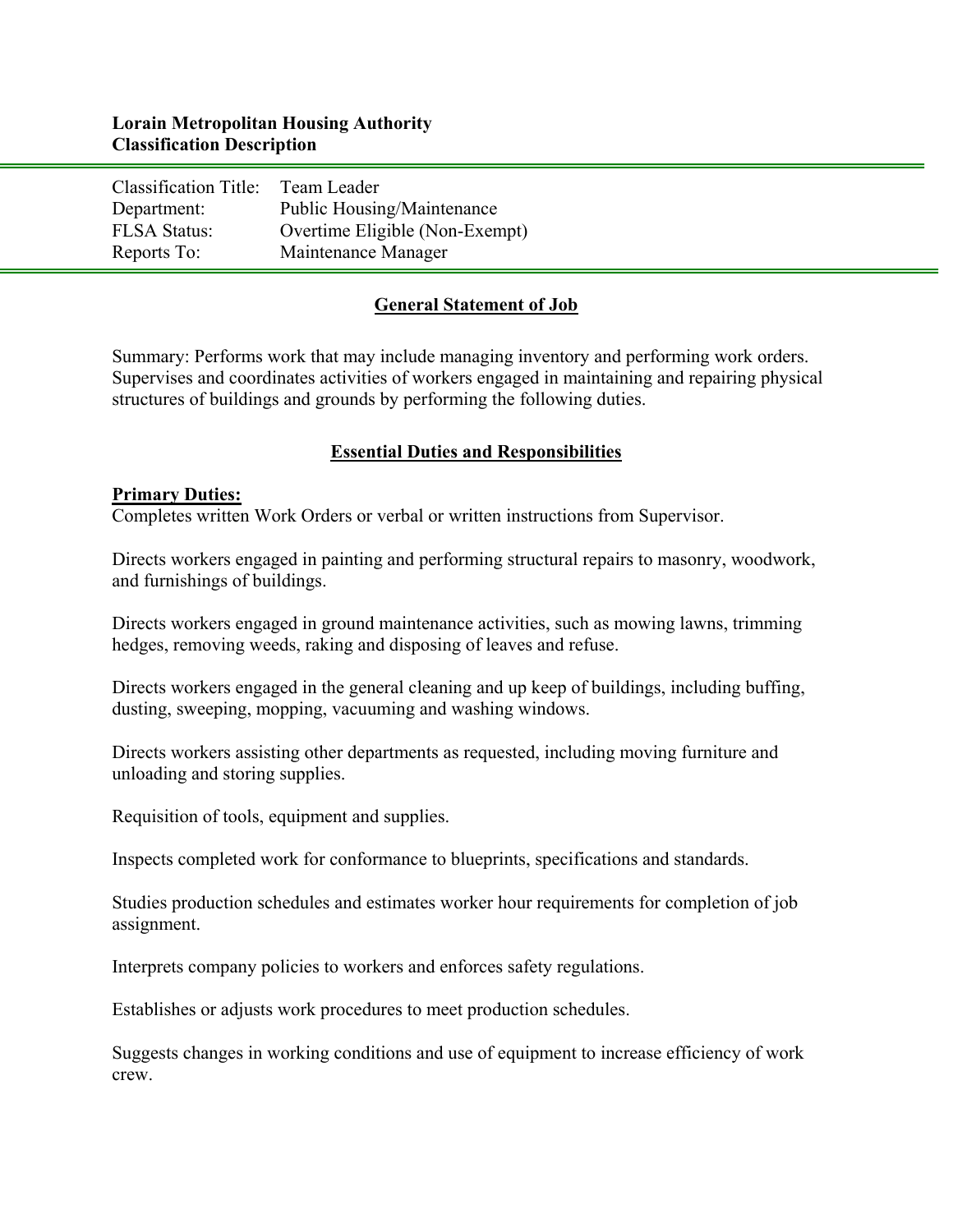# **Lorain Metropolitan Housing Authority Classification Description**

| Classification Title: Team Leader |                                |
|-----------------------------------|--------------------------------|
| Department:                       | Public Housing/Maintenance     |
| <b>FLSA Status:</b>               | Overtime Eligible (Non-Exempt) |
| Reports To:                       | Maintenance Manager            |

### **General Statement of Job**

Summary: Performs work that may include managing inventory and performing work orders. Supervises and coordinates activities of workers engaged in maintaining and repairing physical structures of buildings and grounds by performing the following duties.

### **Essential Duties and Responsibilities**

#### **Primary Duties:**

Completes written Work Orders or verbal or written instructions from Supervisor.

Directs workers engaged in painting and performing structural repairs to masonry, woodwork, and furnishings of buildings.

Directs workers engaged in ground maintenance activities, such as mowing lawns, trimming hedges, removing weeds, raking and disposing of leaves and refuse.

Directs workers engaged in the general cleaning and up keep of buildings, including buffing, dusting, sweeping, mopping, vacuuming and washing windows.

Directs workers assisting other departments as requested, including moving furniture and unloading and storing supplies.

Requisition of tools, equipment and supplies.

Inspects completed work for conformance to blueprints, specifications and standards.

Studies production schedules and estimates worker hour requirements for completion of job assignment.

Interprets company policies to workers and enforces safety regulations.

Establishes or adjusts work procedures to meet production schedules.

Suggests changes in working conditions and use of equipment to increase efficiency of work crew.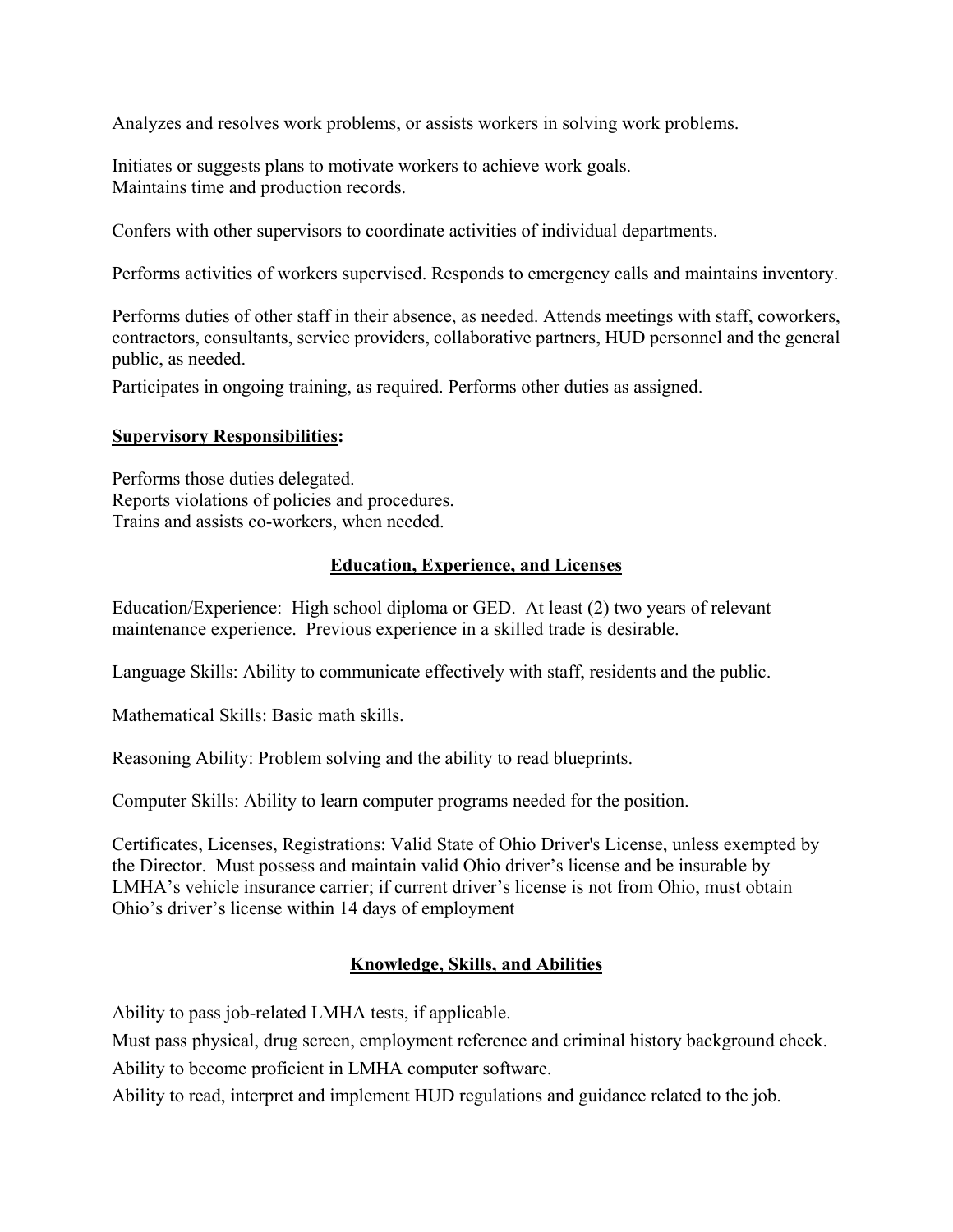Analyzes and resolves work problems, or assists workers in solving work problems.

Initiates or suggests plans to motivate workers to achieve work goals. Maintains time and production records.

Confers with other supervisors to coordinate activities of individual departments.

Performs activities of workers supervised. Responds to emergency calls and maintains inventory.

Performs duties of other staff in their absence, as needed. Attends meetings with staff, coworkers, contractors, consultants, service providers, collaborative partners, HUD personnel and the general public, as needed.

Participates in ongoing training, as required. Performs other duties as assigned.

### **Supervisory Responsibilities:**

Performs those duties delegated. Reports violations of policies and procedures. Trains and assists co-workers, when needed.

# **Education, Experience, and Licenses**

Education/Experience: High school diploma or GED. At least (2) two years of relevant maintenance experience. Previous experience in a skilled trade is desirable.

Language Skills: Ability to communicate effectively with staff, residents and the public.

Mathematical Skills: Basic math skills.

Reasoning Ability: Problem solving and the ability to read blueprints.

Computer Skills: Ability to learn computer programs needed for the position.

Certificates, Licenses, Registrations: Valid State of Ohio Driver's License, unless exempted by the Director. Must possess and maintain valid Ohio driver's license and be insurable by LMHA's vehicle insurance carrier; if current driver's license is not from Ohio, must obtain Ohio's driver's license within 14 days of employment

# **Knowledge, Skills, and Abilities**

Ability to pass job-related LMHA tests, if applicable.

Must pass physical, drug screen, employment reference and criminal history background check.

Ability to become proficient in LMHA computer software.

Ability to read, interpret and implement HUD regulations and guidance related to the job.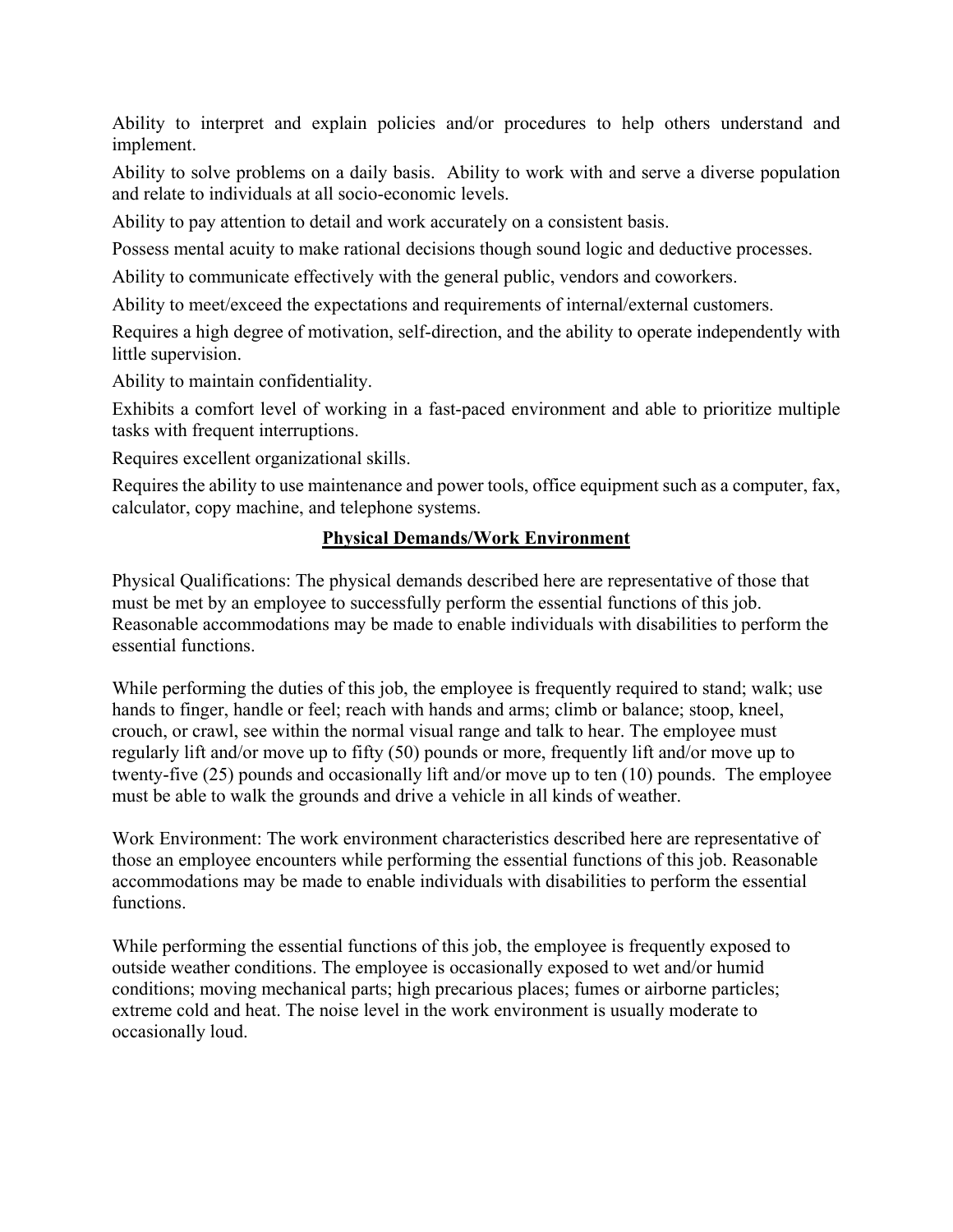Ability to interpret and explain policies and/or procedures to help others understand and implement.

Ability to solve problems on a daily basis. Ability to work with and serve a diverse population and relate to individuals at all socio-economic levels.

Ability to pay attention to detail and work accurately on a consistent basis.

Possess mental acuity to make rational decisions though sound logic and deductive processes.

Ability to communicate effectively with the general public, vendors and coworkers.

Ability to meet/exceed the expectations and requirements of internal/external customers.

Requires a high degree of motivation, self-direction, and the ability to operate independently with little supervision.

Ability to maintain confidentiality.

Exhibits a comfort level of working in a fast-paced environment and able to prioritize multiple tasks with frequent interruptions.

Requires excellent organizational skills.

Requires the ability to use maintenance and power tools, office equipment such as a computer, fax, calculator, copy machine, and telephone systems.

# **Physical Demands/Work Environment**

Physical Qualifications: The physical demands described here are representative of those that must be met by an employee to successfully perform the essential functions of this job. Reasonable accommodations may be made to enable individuals with disabilities to perform the essential functions.

While performing the duties of this job, the employee is frequently required to stand; walk; use hands to finger, handle or feel; reach with hands and arms; climb or balance; stoop, kneel, crouch, or crawl, see within the normal visual range and talk to hear. The employee must regularly lift and/or move up to fifty (50) pounds or more, frequently lift and/or move up to twenty-five (25) pounds and occasionally lift and/or move up to ten (10) pounds. The employee must be able to walk the grounds and drive a vehicle in all kinds of weather.

Work Environment: The work environment characteristics described here are representative of those an employee encounters while performing the essential functions of this job. Reasonable accommodations may be made to enable individuals with disabilities to perform the essential functions.

While performing the essential functions of this job, the employee is frequently exposed to outside weather conditions. The employee is occasionally exposed to wet and/or humid conditions; moving mechanical parts; high precarious places; fumes or airborne particles; extreme cold and heat. The noise level in the work environment is usually moderate to occasionally loud.